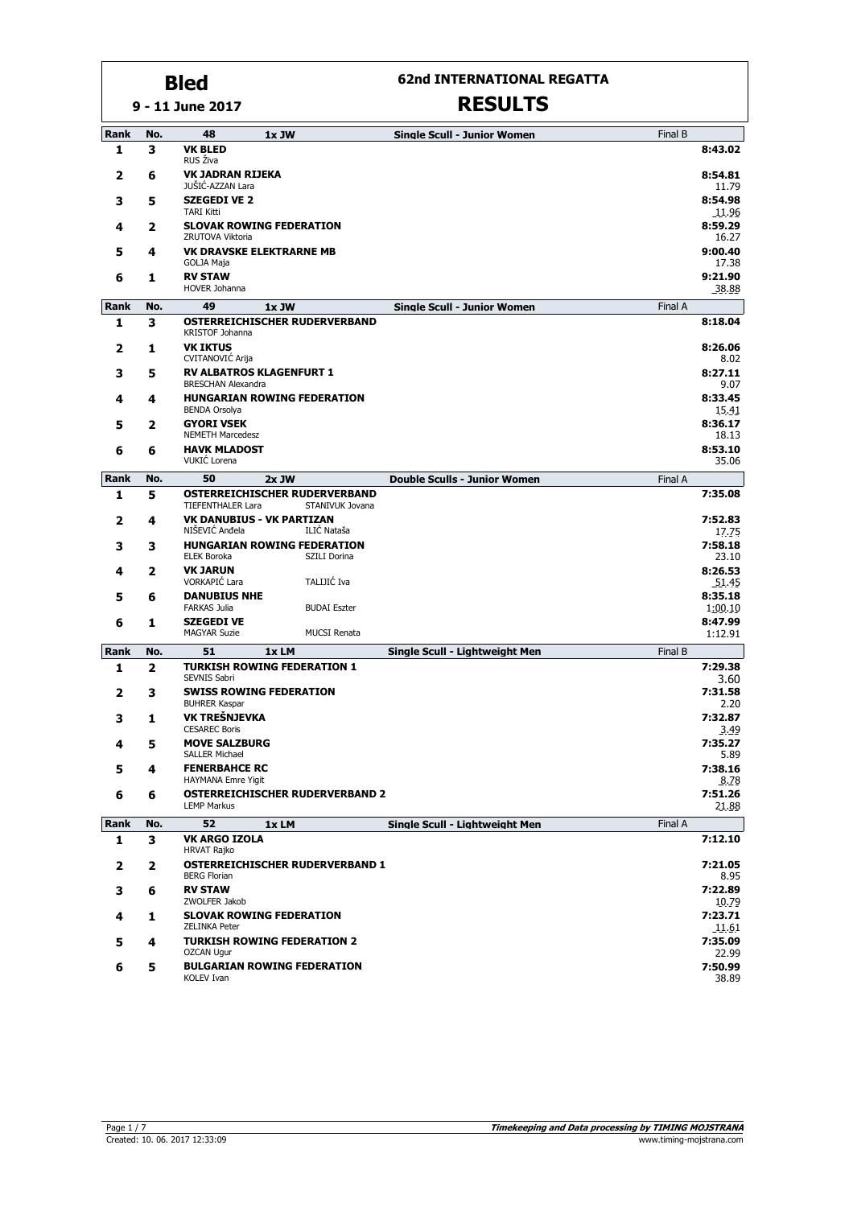**9 - 11 June 2017**

#### **62nd INTERNATIONAL REGATTA**

| Rank                 | No.      | 48                                             | 1x JW                                  |                     | <b>Single Scull - Junior Women</b>  | Final B |                    |
|----------------------|----------|------------------------------------------------|----------------------------------------|---------------------|-------------------------------------|---------|--------------------|
| 1                    | 3        | <b>VK BLED</b><br>RUS Živa                     |                                        |                     |                                     |         | 8:43.02            |
| 2                    | 6        | <b>VK JADRAN RIJEKA</b><br>JUŠIĆ-AZZAN Lara    |                                        |                     |                                     |         | 8:54.81<br>11.79   |
| 3                    | 5        | <b>SZEGEDI VE 2</b>                            |                                        |                     |                                     |         | 8:54.98            |
| 4                    | 2        | <b>TARI Kitti</b>                              | <b>SLOVAK ROWING FEDERATION</b>        |                     |                                     |         | 11.96<br>8:59.29   |
| 5                    | 4        | ZRUTOVA Viktoria                               | <b>VK DRAVSKE ELEKTRARNE MB</b>        |                     |                                     |         | 16.27<br>9:00.40   |
|                      |          | GOLJA Maja                                     |                                        |                     |                                     |         | 17.38              |
| 6                    | 1        | <b>RV STAW</b><br>HOVER Johanna                |                                        |                     |                                     |         | 9:21.90<br>38.88   |
| Rank                 | No.      | 49                                             | 1x JW                                  |                     | <b>Single Scull - Junior Women</b>  | Final A |                    |
| 1                    | 3        | KRISTOF Johanna                                | OSTERREICHISCHER RUDERVERBAND          |                     |                                     |         | 8:18.04            |
| 2                    | 1        | <b>VK IKTUS</b><br><b>CVITANOVIC Arija</b>     |                                        |                     |                                     |         | 8:26.06<br>8.02    |
| 3                    | 5        | <b>BRESCHAN Alexandra</b>                      | <b>RV ALBATROS KLAGENFURT 1</b>        |                     |                                     |         | 8:27.11<br>9.07    |
| 4                    | 4        |                                                | <b>HUNGARIAN ROWING FEDERATION</b>     |                     |                                     |         | 8:33.45            |
| 5                    | 2        | <b>BENDA Orsolya</b><br><b>GYORI VSEK</b>      |                                        |                     |                                     |         | 15.41<br>8:36.17   |
|                      |          | <b>NEMETH Marcedesz</b><br><b>HAVK MLADOST</b> |                                        |                     |                                     |         | 18.13              |
| 6                    | 6        | VUKIĆ Lorena                                   |                                        |                     |                                     |         | 8:53.10<br>35.06   |
| Rank                 | No.      | 50                                             | $2x$ JW                                |                     | <b>Double Sculls - Junior Women</b> | Final A |                    |
| 1                    | 5        | <b>TIEFENTHALER Lara</b>                       | OSTERREICHISCHER RUDERVERBAND          | STANIVUK Jovana     |                                     |         | 7:35.08            |
| 2                    | 4        | NIŠEVIĆ Anđela                                 | <b>VK DANUBIUS - VK PARTIZAN</b>       | ILIĆ Nataša         |                                     |         | 7:52.83<br>17.75   |
| 3                    | з        |                                                | <b>HUNGARIAN ROWING FEDERATION</b>     |                     |                                     |         | 7:58.18            |
| 4                    | 2        | <b>ELEK Boroka</b><br><b>VK JARUN</b>          |                                        | SZILI Dorina        |                                     |         | 23.10<br>8:26.53   |
|                      |          | VORKAPIĆ Lara                                  |                                        | TALIJIĆ Iva         |                                     |         | 51.45              |
| 5                    | 6        | <b>DANUBIUS NHE</b><br><b>FARKAS Julia</b>     |                                        | <b>BUDAI Eszter</b> |                                     |         | 8:35.18<br>1:00.10 |
| 6                    | 1        | <b>SZEGEDI VE</b><br><b>MAGYAR Suzie</b>       |                                        | <b>MUCSI Renata</b> |                                     |         | 8:47.99<br>1:12.91 |
| <b>Rank</b>          | No.      | 51                                             | 1xLM                                   |                     | Single Scull - Lightweight Men      | Final B |                    |
| 1                    | 2        |                                                | <b>TURKISH ROWING FEDERATION 1</b>     |                     |                                     |         | 7:29.38            |
|                      |          | SEVNIS Sabri                                   |                                        |                     |                                     |         | 3.60               |
| 2                    | 3        | <b>BUHRER Kaspar</b>                           | <b>SWISS ROWING FEDERATION</b>         |                     |                                     |         | 7:31.58<br>2.20    |
| 3                    | 1        | VK TREŠNJEVKA<br><b>CESAREC Boris</b>          |                                        |                     |                                     |         | 7:32.87<br>3.49    |
| 4                    | 5        | <b>MOVE SALZBURG</b>                           |                                        |                     |                                     |         | 7:35.27            |
| 5                    | 4        | <b>SALLER Michael</b><br><b>FENERBAHCE RC</b>  |                                        |                     |                                     |         | 5.89<br>7:38.16    |
| 6                    | 6        | <b>HAYMANA Emre Yigit</b>                      | <b>OSTERREICHISCHER RUDERVERBAND 2</b> |                     |                                     |         | 8.78<br>7:51.26    |
|                      |          | <b>LEMP Markus</b>                             |                                        |                     |                                     |         | 21.88              |
| Rank<br>$\mathbf{1}$ | No.<br>3 | 52<br><b>VK ARGO IZOLA</b>                     | 1xLM                                   |                     | Single Scull - Lightweight Men      | Final A | 7:12.10            |
|                      |          | <b>HRVAT Rajko</b>                             |                                        |                     |                                     |         |                    |
| 2                    | 2        | <b>BERG Florian</b>                            | <b>OSTERREICHISCHER RUDERVERBAND 1</b> |                     |                                     |         | 7:21.05<br>8.95    |
| 3                    | 6        | <b>RV STAW</b><br>ZWOLFER Jakob                |                                        |                     |                                     |         | 7:22.89<br>10.79   |
| 4                    | 1        | <b>ZELINKA Peter</b>                           | <b>SLOVAK ROWING FEDERATION</b>        |                     |                                     |         | 7:23.71<br>11.61   |
| 5                    | 4        |                                                | <b>TURKISH ROWING FEDERATION 2</b>     |                     |                                     |         | 7:35.09            |
|                      |          | <b>OZCAN Ugur</b>                              | <b>BULGARIAN ROWING FEDERATION</b>     |                     |                                     |         | 22.99<br>7:50.99   |
| 6                    | 5        | <b>KOLEV Ivan</b>                              |                                        |                     |                                     |         | 38.89              |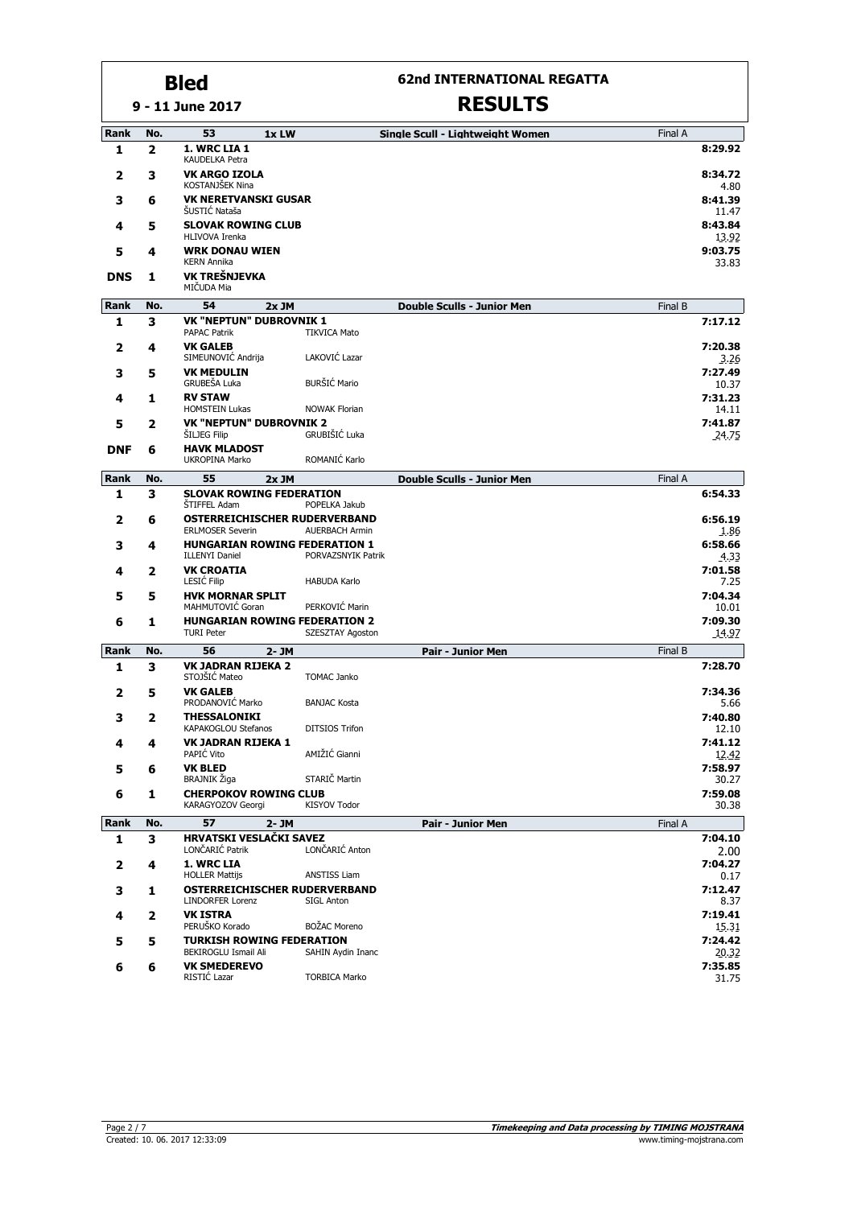## **62nd INTERNATIONAL REGATTA**

**9 - 11 June 2017**

| Rank        | No. | 53<br>1x LW                                                   |                       | Single Scull - Lightweight Women  | Final A |                  |
|-------------|-----|---------------------------------------------------------------|-----------------------|-----------------------------------|---------|------------------|
| 1           | 2   | 1. WRC LIA 1<br>KAUDELKA Petra                                |                       |                                   |         | 8:29.92          |
| 2           | з   | <b>VK ARGO IZOLA</b><br>KOSTANJŠEK Nina                       |                       |                                   |         | 8:34.72<br>4.80  |
| 3           | 6   | <b>VK NERETVANSKI GUSAR</b><br>ŠUSTIĆ Nataša                  |                       |                                   |         | 8:41.39<br>11.47 |
| 4           | 5   | <b>SLOVAK ROWING CLUB</b><br>HLIVOVA Irenka                   |                       |                                   |         | 8:43.84<br>13.92 |
| 5           | 4   | <b>WRK DONAU WIEN</b><br><b>KERN Annika</b>                   |                       |                                   |         | 9:03.75<br>33.83 |
| <b>DNS</b>  | 1   | VK TREŠNJEVKA<br>MIČUDA Mia                                   |                       |                                   |         |                  |
| Rank        | No. | 54<br>$2x$ JM                                                 |                       | <b>Double Sculls - Junior Men</b> | Final B |                  |
| 1           | з   | <b>VK "NEPTUN" DUBROVNIK 1</b>                                |                       |                                   |         | 7:17.12          |
|             |     | <b>PAPAC Patrik</b>                                           | <b>TIKVICA Mato</b>   |                                   |         |                  |
| 2           | 4   | <b>VK GALEB</b><br>SIMEUNOVIC Andrija                         | LAKOVIĆ Lazar         |                                   |         | 7:20.38<br>3.26  |
| 3           | 5   | <b>VK MEDULIN</b>                                             |                       |                                   |         | 7:27.49          |
|             |     | GRUBEŠA Luka                                                  | BURŠIĆ Mario          |                                   |         | 10.37            |
| 4           | 1   | <b>RV STAW</b><br><b>HOMSTEIN Lukas</b>                       | <b>NOWAK Florian</b>  |                                   |         | 7:31.23<br>14.11 |
| 5           | 2   | <b>VK "NEPTUN" DUBROVNIK 2</b>                                |                       |                                   |         | 7:41.87          |
|             |     | ŠILJEG Filip                                                  | GRUBIŠIĆ Luka         |                                   |         | 24.75            |
| <b>DNF</b>  | 6   | <b>HAVK MLADOST</b><br><b>UKROPINA Marko</b>                  | ROMANIĆ Karlo         |                                   |         |                  |
| Rank        | No. | 55<br>2x JM                                                   |                       | <b>Double Sculls - Junior Men</b> | Final A |                  |
| 1           | 3   | <b>SLOVAK ROWING FEDERATION</b>                               |                       |                                   |         | 6:54.33          |
|             |     | <b>STIFFEL Adam</b>                                           | POPELKA Jakub         |                                   |         |                  |
| 2           | 6   | OSTERREICHISCHER RUDERVERBAND<br><b>ERLMOSER Severin</b>      | <b>AUERBACH Armin</b> |                                   |         | 6:56.19<br>1.86  |
| 3           | 4   | <b>HUNGARIAN ROWING FEDERATION 1</b><br><b>ILLENYI Daniel</b> | PORVAZSNYIK Patrik    |                                   |         | 6:58.66<br>4.33  |
| 4           | 2   | <b>VK CROATIA</b><br><b>LESIĆ Filip</b>                       | <b>HABUDA Karlo</b>   |                                   |         | 7:01.58<br>7.25  |
| 5           | 5   | <b>HVK MORNAR SPLIT</b>                                       |                       |                                   |         | 7:04.34          |
|             |     | MAHMUTOVIĆ Goran                                              | PERKOVIĆ Marin        |                                   |         | 10.01            |
| 6           | 1   | <b>HUNGARIAN ROWING FEDERATION 2</b><br><b>TURI Peter</b>     | SZESZTAY Agoston      |                                   |         | 7:09.30<br>14.97 |
| Rank        | No. | 56<br>2- JM                                                   |                       | <b>Pair - Junior Men</b>          | Final B |                  |
| 1           | 3   | <b>VK JADRAN RIJEKA 2</b><br>STOJŠIĆ Mateo                    | <b>TOMAC Janko</b>    |                                   |         | 7:28.70          |
| 2           | 5   | <b>VK GALEB</b>                                               |                       |                                   |         | 7:34.36          |
|             |     | PRODANOVIĆ Marko                                              | <b>BANJAC Kosta</b>   |                                   |         | 5.66<br>7:40.80  |
| 3           | 2   | <b>THESSALONIKI</b><br>KAPAKOGLOU Stefanos                    | <b>DITSIOS Trifon</b> |                                   |         | 12.10            |
| 4           | 4   | <b>VK JADRAN RIJEKA 1</b>                                     | AMIŽIĆ Gianni         |                                   |         | 7:41.12          |
| 5           | 6   | PAPIĆ Vito<br><b>VK BLED</b>                                  |                       |                                   |         | 12.42<br>7:58.97 |
|             |     | BRAJNIK Žiga                                                  | STARIČ Martin         |                                   |         | 30.27            |
| 6           | 1   | <b>CHERPOKOV ROWING CLUB</b><br>KARAGYOZOV Georgi             | <b>KISYOV Todor</b>   |                                   |         | 7:59.08<br>30.38 |
| <b>Rank</b> | No. | 57<br>2- JM                                                   |                       | <b>Pair - Junior Men</b>          | Final A |                  |
| 1           | 3   | HRVATSKI VESLAČKI SAVEZ<br>LONČARIĆ Patrik                    | LONČARIĆ Anton        |                                   |         | 7:04.10<br>2.00  |
| 2           | 4   | 1. WRC LIA<br><b>HOLLER Mattijs</b>                           | <b>ANSTISS Liam</b>   |                                   |         | 7:04.27<br>0.17  |
| 3           | 1   | OSTERREICHISCHER RUDERVERBAND<br>LINDORFER Lorenz             | <b>SIGL Anton</b>     |                                   |         | 7:12.47<br>8.37  |
| 4           | 2   | <b>VK ISTRA</b>                                               |                       |                                   |         | 7:19.41          |
|             |     | PERUŠKO Korado                                                | <b>BOŽAC Moreno</b>   |                                   |         | 15.31            |
| 5           | 5   | <b>TURKISH ROWING FEDERATION</b>                              |                       |                                   |         | 7:24.42          |
|             |     | BEKIROGLU Ismail Ali<br><b>VK SMEDEREVO</b>                   | SAHIN Aydin Inanc     |                                   |         | 20.32<br>7:35.85 |
| 6           | 6   | RISTIĆ Lazar                                                  | <b>TORBICA Marko</b>  |                                   |         | 31.75            |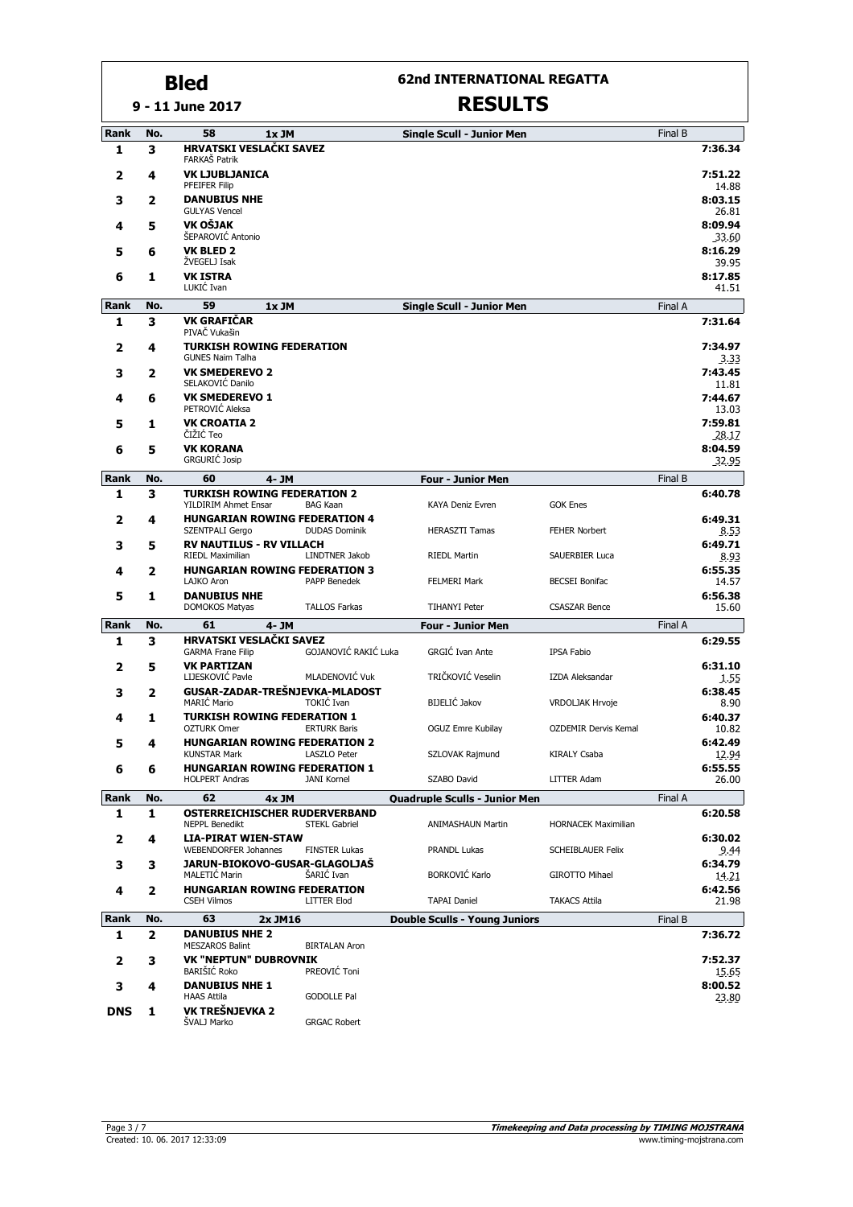### **9 - 11 June 2017 Bled**

# **62nd INTERNATIONAL REGATTA**

| Rank        | No. | 58<br>1x JM                                                   |                       | <b>Single Scull - Junior Men</b>     |                             | Final B |                  |
|-------------|-----|---------------------------------------------------------------|-----------------------|--------------------------------------|-----------------------------|---------|------------------|
| 1           | 3   | HRVATSKI VESLAČKI SAVEZ<br>FARKAŠ Patrik                      |                       |                                      |                             |         | 7:36.34          |
| 2           | 4   | <b>VK LJUBLJANICA</b><br>PFEIFER Filip                        |                       |                                      |                             |         | 7:51.22<br>14.88 |
| 3           | 2   | <b>DANUBIUS NHE</b><br><b>GULYAS Vencel</b>                   |                       |                                      |                             |         | 8:03.15<br>26.81 |
| 4           | 5   | VK OŠJAK<br>ŠEPAROVIĆ Antonio                                 |                       |                                      |                             |         | 8:09.94<br>33.60 |
| 5           | 6   | <b>VK BLED 2</b><br>ŽVEGELJ Isak                              |                       |                                      |                             |         | 8:16.29<br>39.95 |
| 6           | 1   | <b>VK ISTRA</b><br>LUKIĆ Ivan                                 |                       |                                      |                             |         | 8:17.85<br>41.51 |
| Rank        | No. | 59<br>$1x$ JM                                                 |                       | <b>Single Scull - Junior Men</b>     |                             | Final A |                  |
| 1           | 3   | <b>VK GRAFIČAR</b><br>PIVAČ Vukašin                           |                       |                                      |                             |         | 7:31.64          |
| 2           | 4   | <b>TURKISH ROWING FEDERATION</b><br><b>GUNES Naim Talha</b>   |                       |                                      |                             |         | 7:34.97<br>3.33  |
| 3           | 2   | <b>VK SMEDEREVO 2</b><br>SELAKOVIĆ Danilo                     |                       |                                      |                             |         | 7:43.45<br>11.81 |
| 4           | 6   | <b>VK SMEDEREVO 1</b><br>PETROVIĆ Aleksa                      |                       |                                      |                             |         | 7:44.67<br>13.03 |
| 5           | 1   | <b>VK CROATIA 2</b><br>ČIŽIĆ Teo                              |                       |                                      |                             |         | 7:59.81<br>28.17 |
| 6           | 5   | <b>VK KORANA</b><br><b>GRGURIĆ Josip</b>                      |                       |                                      |                             |         | 8:04.59<br>32.95 |
| Rank        | No. | 60<br>4- JM                                                   |                       | <b>Four - Junior Men</b>             |                             | Final B |                  |
| 1           | 3   | <b>TURKISH ROWING FEDERATION 2</b><br>YILDIRIM Ahmet Ensar    | <b>BAG Kaan</b>       | <b>KAYA Deniz Evren</b>              | <b>GOK Enes</b>             |         | 6:40.78          |
| 2           | 4   | <b>HUNGARIAN ROWING FEDERATION 4</b><br>SZENTPALI Gergo       | <b>DUDAS Dominik</b>  | <b>HERASZTI Tamas</b>                | <b>FEHER Norbert</b>        |         | 6:49.31<br>8.53  |
| 3           | 5   | <b>RV NAUTILUS - RV VILLACH</b><br><b>RIEDL Maximilian</b>    | <b>LINDTNER Jakob</b> | <b>RIEDL Martin</b>                  | <b>SAUERBIER Luca</b>       |         | 6:49.71<br>8.93  |
| 4           | 2   | <b>HUNGARIAN ROWING FEDERATION 3</b><br>LAJKO Aron            | PAPP Benedek          | <b>FELMERI Mark</b>                  | <b>BECSEI Bonifac</b>       |         | 6:55.35<br>14.57 |
| 5           | 1   | <b>DANUBIUS NHE</b><br><b>DOMOKOS Matyas</b>                  | <b>TALLOS Farkas</b>  | <b>TIHANYI Peter</b>                 | <b>CSASZAR Bence</b>        |         | 6:56.38<br>15.60 |
| Rank        | No. | 61<br>4- JM                                                   |                       | <b>Four - Junior Men</b>             |                             | Final A |                  |
| 1           | 3   | HRVATSKI VESLAČKI SAVEZ<br><b>GARMA Frane Filip</b>           | GOJANOVIĆ RAKIĆ Luka  | GRGIĆ Ivan Ante                      | <b>IPSA Fabio</b>           |         | 6:29.55          |
| 2           | 5   | <b>VK PARTIZAN</b><br>LIJESKOVIĆ Pavle                        | MLADENOVIĆ Vuk        | TRIČKOVIĆ Veselin                    | <b>IZDA Aleksandar</b>      |         | 6:31.10<br>1.55  |
| 3           | 2   | GUSAR-ZADAR-TREŠNJEVKA-MLADOST<br><b>MARIĆ Mario</b>          | TOKIĆ Ivan            | BIJELIĆ Jakov                        | <b>VRDOLJAK Hrvoje</b>      |         | 6:38.45          |
| 4           | 1   | <b>TURKISH ROWING FEDERATION 1</b>                            |                       |                                      |                             |         | 8.90<br>6:40.37  |
| 5           | 4   | <b>OZTURK Omer</b><br><b>HUNGARIAN ROWING FEDERATION 2</b>    | <b>ERTURK Baris</b>   | OGUZ Emre Kubilay                    | <b>OZDEMIR Dervis Kemal</b> |         | 10.82<br>6:42.49 |
|             |     | <b>KUNSTAR Mark</b>                                           | <b>LASZLO Peter</b>   | SZLOVAK Rajmund                      | <b>KIRALY Csaba</b>         |         | 12.94            |
| 6           | 6   | <b>HUNGARIAN ROWING FEDERATION 1</b><br><b>HOLPERT Andras</b> | <b>JANI Kornel</b>    | <b>SZABO David</b>                   | LITTER Adam                 |         | 6:55.55<br>26.00 |
| <b>Rank</b> | No. | 62<br>4x JM                                                   |                       | <b>Quadruple Sculls - Junior Men</b> |                             | Final A |                  |
| 1           | 1   | OSTERREICHISCHER RUDERVERBAND<br><b>NEPPL Benedikt</b>        | <b>STEKL Gabriel</b>  | <b>ANIMASHAUN Martin</b>             | <b>HORNACEK Maximilian</b>  |         | 6:20.58          |
| 2           | 4   | <b>LIA-PIRAT WIEN-STAW</b><br>WEBENDORFER Johannes            | <b>FINSTER Lukas</b>  | PRANDL Lukas                         | <b>SCHEIBLAUER Felix</b>    |         | 6:30.02<br>9.44  |
| з           | з   | JARUN-BIOKOVO-GUSAR-GLAGOLJAŠ<br><b>MALETIC Marin</b>         | ŠARIĆ Ivan            | <b>BORKOVIĆ Karlo</b>                | GIROTTO Mihael              |         | 6:34.79<br>14.21 |
| 4           | 2   | <b>HUNGARIAN ROWING FEDERATION</b><br><b>CSEH Vilmos</b>      | <b>LITTER Elod</b>    | <b>TAPAI Daniel</b>                  | <b>TAKACS Attila</b>        |         | 6:42.56<br>21.98 |
| Rank        | No. | 63<br>2x JM16                                                 |                       | <b>Double Sculls - Young Juniors</b> |                             | Final B |                  |
| 1           | 2   | <b>DANUBIUS NHE 2</b><br><b>MESZAROS Balint</b>               | <b>BIRTALAN Aron</b>  |                                      |                             |         | 7:36.72          |
| 2           | з   | <b>VK "NEPTUN" DUBROVNIK</b><br><b>BARIŠIĆ Roko</b>           | PREOVIĆ Toni          |                                      |                             |         | 7:52.37<br>15.65 |
| з           | 4   | <b>DANUBIUS NHE 1</b><br><b>HAAS Attila</b>                   | <b>GODOLLE Pal</b>    |                                      |                             |         | 8:00.52<br>23.80 |
| DNS         | 1   | VK TREŠNJEVKA 2<br>ŠVALJ Marko                                | <b>GRGAC Robert</b>   |                                      |                             |         |                  |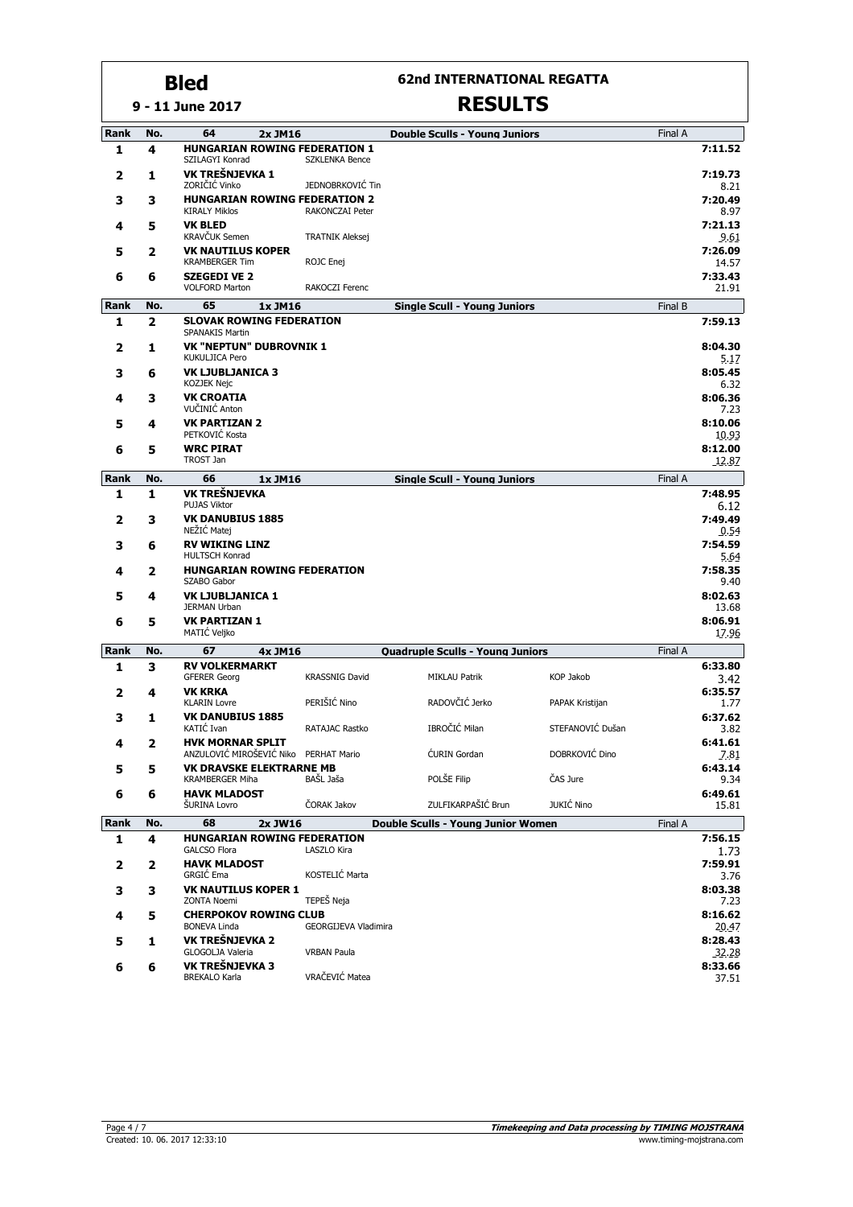**62nd INTERNATIONAL REGATTA**

#### **9 - 11 June 2017**

| <b>Rank</b> | No. | 64<br>2x JM16                                                     |                        | <b>Double Sculls - Young Juniors</b>    |                   | Final A |                  |
|-------------|-----|-------------------------------------------------------------------|------------------------|-----------------------------------------|-------------------|---------|------------------|
| 1           | 4   | <b>HUNGARIAN ROWING FEDERATION 1</b>                              |                        |                                         |                   |         | 7:11.52          |
|             |     | SZILAGYI Konrad                                                   | <b>SZKLENKA Bence</b>  |                                         |                   |         |                  |
| 2           | 1   | VK TREŠNJEVKA 1<br>ZORIČIĆ Vinko                                  | JEDNOBRKOVIĆ Tin       |                                         |                   |         | 7:19.73<br>8.21  |
| 3           | 3   | <b>HUNGARIAN ROWING FEDERATION 2</b>                              |                        |                                         |                   |         | 7:20.49          |
|             |     | <b>KIRALY Miklos</b>                                              | <b>RAKONCZAI Peter</b> |                                         |                   |         | 8.97             |
| 4           | 5   | <b>VK BLED</b><br><b>KRAVČUK Semen</b>                            | <b>TRATNIK Aleksej</b> |                                         |                   |         | 7:21.13<br>9.61  |
| 5           | 2   | <b>VK NAUTILUS KOPER</b>                                          |                        |                                         |                   |         | 7:26.09          |
|             |     | <b>KRAMBERGER Tim</b>                                             | ROJC Enej              |                                         |                   |         | 14.57            |
| 6           | 6   | <b>SZEGEDI VE 2</b><br><b>VOLFORD Marton</b>                      | RAKOCZI Ferenc         |                                         |                   |         | 7:33.43<br>21.91 |
| Rank        | No. | 65<br>1x JM16                                                     |                        | <b>Single Scull - Young Juniors</b>     |                   | Final B |                  |
| 1           | 2   | <b>SLOVAK ROWING FEDERATION</b>                                   |                        |                                         |                   |         | 7:59.13          |
| 2           | 1   | <b>SPANAKIS Martin</b><br><b>VK "NEPTUN" DUBROVNIK 1</b>          |                        |                                         |                   |         | 8:04.30          |
|             |     | <b>KUKULJICA Pero</b>                                             |                        |                                         |                   |         | 5.17             |
| 3           | 6   | <b>VK LJUBLJANICA 3</b><br>KOZJEK Nejc                            |                        |                                         |                   |         | 8:05.45<br>6.32  |
| 4           | 3   | <b>VK CROATIA</b>                                                 |                        |                                         |                   |         | 8:06.36          |
|             |     | VUČINIĆ Anton                                                     |                        |                                         |                   |         | 7.23             |
| 5           | 4   | <b>VK PARTIZAN 2</b><br>PETKOVIĆ Kosta                            |                        |                                         |                   |         | 8:10.06<br>10.93 |
| 6           | 5   | <b>WRC PIRAT</b>                                                  |                        |                                         |                   |         | 8:12.00          |
|             |     | TROST Jan                                                         |                        |                                         |                   |         | 12.87            |
| Rank        | No. | 66<br>1x JM16                                                     |                        | <b>Single Scull - Young Juniors</b>     |                   | Final A |                  |
| 1           | 1   | VK TREŠNJEVKA<br><b>PUJAS Viktor</b>                              |                        |                                         |                   |         | 7:48.95<br>6.12  |
| 2           | 3   | <b>VK DANUBIUS 1885</b>                                           |                        |                                         |                   |         | 7:49.49          |
|             |     | NEŻIĆ Matej                                                       |                        |                                         |                   |         | 0.54             |
| 3           | 6   | <b>RV WIKING LINZ</b><br>HULTSCH Konrad                           |                        |                                         |                   |         | 7:54.59<br>5.64  |
| 4           | 2   | <b>HUNGARIAN ROWING FEDERATION</b>                                |                        |                                         |                   |         | 7:58.35          |
| 5           | 4   | SZABO Gabor<br><b>VK LJUBLJANICA 1</b>                            |                        |                                         |                   |         | 9.40<br>8:02.63  |
|             |     | <b>JERMAN Urban</b>                                               |                        |                                         |                   |         | 13.68            |
| 6           | 5   | <b>VK PARTIZAN 1</b>                                              |                        |                                         |                   |         | 8:06.91          |
|             |     | MATIC Veljko                                                      |                        |                                         |                   |         | 17.96            |
| Rank        | No. | 67<br>4x JM16<br><b>RV VOLKERMARKT</b>                            |                        | <b>Quadruple Sculls - Young Juniors</b> |                   | Final A | 6:33.80          |
| 1           | 3   | <b>GFERER Georg</b>                                               | <b>KRASSNIG David</b>  | <b>MIKLAU Patrik</b>                    | <b>KOP Jakob</b>  |         | 3.42             |
| 2           | 4   | <b>VK KRKA</b>                                                    |                        |                                         |                   |         | 6:35.57          |
|             |     | <b>KLARIN Lovre</b><br><b>VK DANUBIUS 1885</b>                    | PERIŠIĆ Nino           | RADOVČIĆ Jerko                          | PAPAK Kristijan   |         | 1.77<br>6:37.62  |
| 3           | 1   | KATIĆ Ivan                                                        | RATAJAC Rastko         | IBROČIĆ Milan                           | STEFANOVIĆ Dušan  |         | 3.82             |
| 4           | 2   | <b>HVK MORNAR SPLIT</b>                                           |                        |                                         |                   |         | 6:41.61          |
| 5           | 5   | ANZULOVIĆ MIROŠEVIĆ Niko PERHAT Mario<br>VK DRAVSKE ELEKTRARNE MB |                        | <b>CURIN</b> Gordan                     | DOBRKOVIĆ Dino    |         | 7.81<br>6:43.14  |
|             |     | <b>KRAMBERGER Miha</b>                                            | BAŠL Jaša              | POLŠE Filip                             | ČAS Jure          |         | 9.34             |
| 6           | 6   | <b>HAVK MLADOST</b><br>ŠURINA Lovro                               | ČORAK Jakov            | ZULFIKARPAŠIĆ Brun                      | <b>JUKIĆ Nino</b> |         | 6:49.61<br>15.81 |
| Rank        | No. | 68<br>2x JW16                                                     |                        | Double Sculls - Young Junior Women      |                   | Final A |                  |
| 1           | 4   | <b>HUNGARIAN ROWING FEDERATION</b>                                |                        |                                         |                   |         | 7:56.15          |
|             |     | <b>GALCSO Flora</b>                                               | LASZLO Kira            |                                         |                   |         | 1.73             |
| 2           | 2   | <b>HAVK MLADOST</b><br>GRGIĆ Ema                                  | KOSTELIĆ Marta         |                                         |                   |         | 7:59.91<br>3.76  |
| 3           | 3   | <b>VK NAUTILUS KOPER 1</b>                                        |                        |                                         |                   |         | 8:03.38          |
|             |     | <b>ZONTA Noemi</b>                                                | TEPEŠ Neja             |                                         |                   |         | 7.23             |
| 4           | 5   | <b>CHERPOKOV ROWING CLUB</b><br><b>BONEVA Linda</b>               | GEORGIJEVA Vladimira   |                                         |                   |         | 8:16.62<br>20.47 |
| 5           | 1   | VK TREŠNJEVKA 2                                                   |                        |                                         |                   |         | 8:28.43          |
|             |     | GLOGOLJA Valeria<br>VK TREŠNJEVKA 3                               | <b>VRBAN Paula</b>     |                                         |                   |         | 32.28            |
| 6           | 6   | <b>BREKALO Karla</b>                                              | VRAČEVIĆ Matea         |                                         |                   |         | 8:33.66<br>37.51 |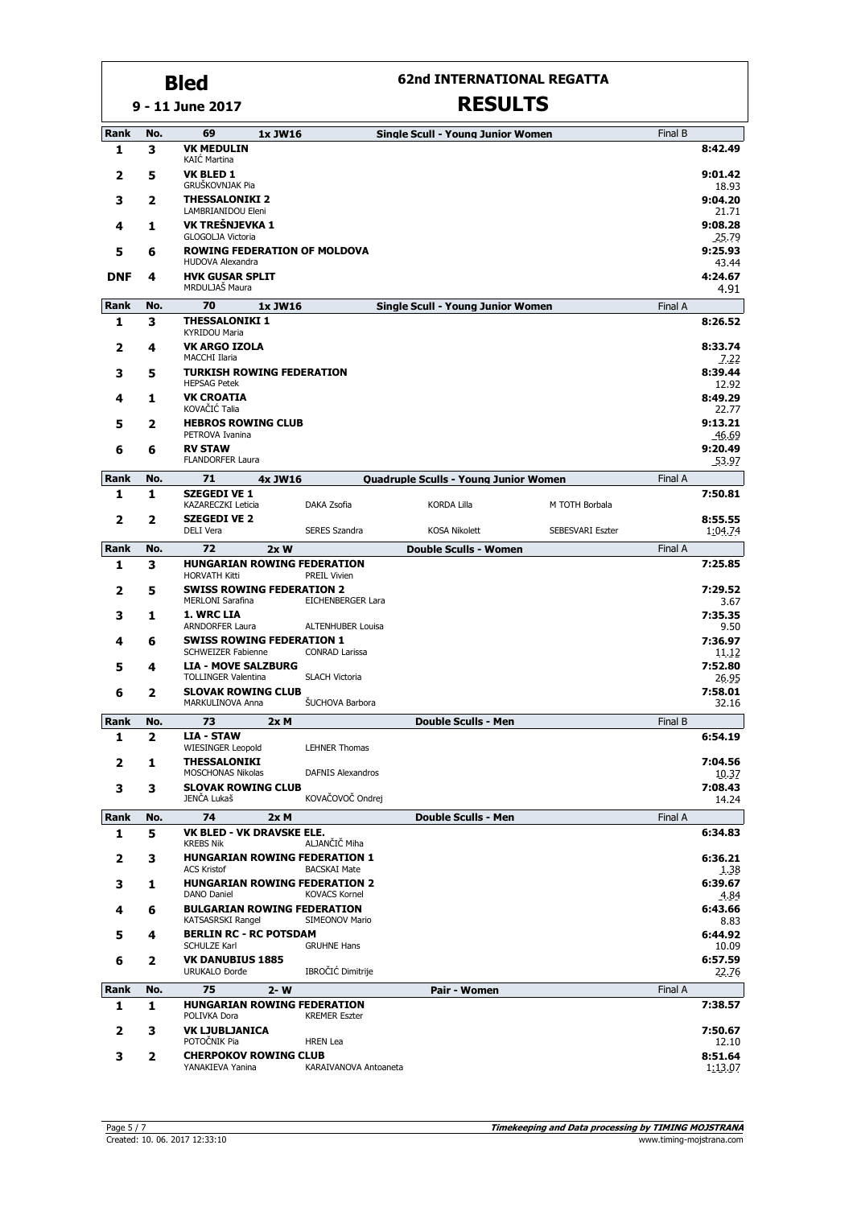### **62nd INTERNATIONAL REGATTA**

|             |     | 9 - 11 June 2017                                            |                          | <b>RESULTS</b>                           |                         |         |                    |
|-------------|-----|-------------------------------------------------------------|--------------------------|------------------------------------------|-------------------------|---------|--------------------|
| Rank        | No. | 69<br>1x JW16                                               |                          | <b>Single Scull - Young Junior Women</b> |                         | Final B |                    |
| 1           | 3   | <b>VK MEDULIN</b><br><b>KAIĆ Martina</b>                    |                          |                                          |                         |         | 8:42.49            |
| 2           | 5   | <b>VK BLED 1</b><br>GRUŠKOVNJAK Pia                         |                          |                                          |                         |         | 9:01.42<br>18.93   |
| з           | 2   | <b>THESSALONIKI 2</b><br>LAMBRIANIDOU Eleni                 |                          |                                          |                         |         | 9:04.20<br>21.71   |
| 4           | 1   | VK TREŠNJEVKA 1<br>GLOGOLJA Victoria                        |                          |                                          |                         |         | 9:08.28<br>25.79   |
| 5           | 6   | <b>ROWING FEDERATION OF MOLDOVA</b><br>HUDOVA Alexandra     |                          |                                          |                         |         | 9:25.93<br>43.44   |
| <b>DNF</b>  | 4   | <b>HVK GUSAR SPLIT</b><br>MRDULJAŠ Maura                    |                          |                                          |                         |         | 4:24.67<br>4.91    |
| <b>Rank</b> | No. | 70<br>1x JW16                                               |                          | <b>Single Scull - Young Junior Women</b> |                         | Final A |                    |
| 1           | 3   | <b>THESSALONIKI 1</b><br><b>KYRIDOU Maria</b>               |                          |                                          |                         |         | 8:26.52            |
| 2           | 4   | <b>VK ARGO IZOLA</b><br><b>MACCHI Ilaria</b>                |                          |                                          |                         |         | 8:33.74<br>7.22    |
| 3           | 5   | <b>TURKISH ROWING FEDERATION</b><br><b>HEPSAG Petek</b>     |                          |                                          |                         |         | 8:39.44<br>12.92   |
| 4           | 1   | <b>VK CROATIA</b><br>KOVAČIĆ Talia                          |                          |                                          |                         |         | 8:49.29<br>22.77   |
| 5           | 2   | <b>HEBROS ROWING CLUB</b><br>PETROVA Ivanina                |                          |                                          |                         |         | 9:13.21<br>46.69   |
| 6           | 6   | <b>RV STAW</b><br><b>FLANDORFER Laura</b>                   |                          |                                          |                         |         | 9:20.49<br>53.97   |
| Rank        | No. | 71<br>4x JW16                                               |                          | Quadruple Sculls - Young Junior Women    |                         | Final A |                    |
| 1           | 1   | <b>SZEGEDI VE 1</b><br><b>KAZARECZKI Leticia</b>            | DAKA Zsofia              | <b>KORDA Lilla</b>                       | M TOTH Borbala          |         | 7:50.81            |
| 2           | 2   | <b>SZEGEDI VE 2</b><br><b>DELI Vera</b>                     | <b>SERES Szandra</b>     | <b>KOSA Nikolett</b>                     | <b>SEBESVARI Eszter</b> |         | 8:55.55<br>1:04.74 |
| <b>Rank</b> | No. | 72<br>2xW                                                   |                          | <b>Double Sculls - Women</b>             |                         | Final A |                    |
| 1           | 3   | <b>HUNGARIAN ROWING FEDERATION</b><br><b>HORVATH Kitti</b>  | <b>PREIL Vivien</b>      |                                          |                         |         | 7:25.85            |
| 2           | 5   | <b>SWISS ROWING FEDERATION 2</b><br><b>MERLONI Sarafina</b> | <b>EICHENBERGER Lara</b> |                                          |                         |         | 7:29.52<br>3.67    |
| 3           | 1   | 1. WRC LIA<br><b>ARNDORFER Laura</b>                        | <b>ALTENHUBER Louisa</b> |                                          |                         |         | 7:35.35<br>9.50    |
| 4           | 6   | <b>SWISS ROWING FEDERATION 1</b><br>SCHWEIZER Fabienne      | <b>CONRAD Larissa</b>    |                                          |                         |         | 7:36.97<br>11.12   |
| 5           | 4   | <b>LIA - MOVE SALZBURG</b><br><b>TOLLINGER Valentina</b>    | <b>SLACH Victoria</b>    |                                          |                         |         | 7:52.80<br>26.95   |
| 6           | 2   | <b>SLOVAK ROWING CLUB</b><br>MARKULINOVA Anna               | <b>ŠUCHOVA Barbora</b>   |                                          |                         |         | 7:58.01<br>32.16   |
| Rank        | No. | 73<br>2xM                                                   |                          | <b>Double Sculls - Men</b>               |                         | Final B |                    |
| 1           | 2   | <b>LIA - STAW</b>                                           |                          |                                          |                         |         | 6:54.19            |
| 2           | 1   | WIESINGER Leopold<br><b>THESSALONIKI</b>                    | <b>LEHNER Thomas</b>     |                                          |                         |         | 7:04.56            |
| 3           | 3   | <b>MOSCHONAS Nikolas</b><br><b>SLOVAK ROWING CLUB</b>       | <b>DAFNIS Alexandros</b> |                                          |                         |         | 10.37<br>7:08.43   |
| Rank        | No. | JENČA Lukaš<br>74                                           | KOVAČOVOČ Ondrej         |                                          |                         | Final A | 14.24              |
| 1           | 5   | 2xM<br><b>VK BLED - VK DRAVSKE ELE.</b><br><b>KREBS Nik</b> | ALJANČIČ Miha            | <b>Double Sculls - Men</b>               |                         |         | 6:34.83            |
| 2           | 3   | <b>HUNGARIAN ROWING FEDERATION 1</b><br><b>ACS Kristof</b>  | <b>BACSKAI Mate</b>      |                                          |                         |         | 6:36.21<br>1.38    |
| з           | 1   | <b>HUNGARIAN ROWING FEDERATION 2</b><br>DANO Daniel         | <b>KOVACS Kornel</b>     |                                          |                         |         | 6:39.67<br>4.84    |
| 4           | 6   | <b>BULGARIAN ROWING FEDERATION</b><br>KATSASRSKI Rangel     | SIMEONOV Mario           |                                          |                         |         | 6:43.66<br>8.83    |
| 5           | 4   | <b>BERLIN RC - RC POTSDAM</b><br>SCHULZE Karl               | <b>GRUHNE Hans</b>       |                                          |                         |         | 6:44.92<br>10.09   |
| 6           | 2   | <b>VK DANUBIUS 1885</b><br><b>URUKALO Đorđe</b>             | IBROČIĆ Dimitrije        |                                          |                         |         | 6:57.59<br>22.76   |
| Rank        | No. | 75<br>$2 - W$                                               |                          | Pair - Women                             |                         | Final A |                    |
| 1           | 1   | <b>HUNGARIAN ROWING FEDERATION</b>                          |                          |                                          |                         |         | 7:38.57            |
| 2           | 3   | POLIVKA Dora<br><b>VK LJUBLJANICA</b>                       | <b>KREMER Eszter</b>     |                                          |                         |         | 7:50.67            |
|             |     | POTOČNIK Pia                                                | <b>HREN</b> Lea          |                                          |                         |         | 12.10              |
| 3           | 2   | <b>CHERPOKOV ROWING CLUB</b><br>YANAKIEVA Yanina            | KARAIVANOVA Antoaneta    |                                          |                         |         | 8:51.64<br>1:13.07 |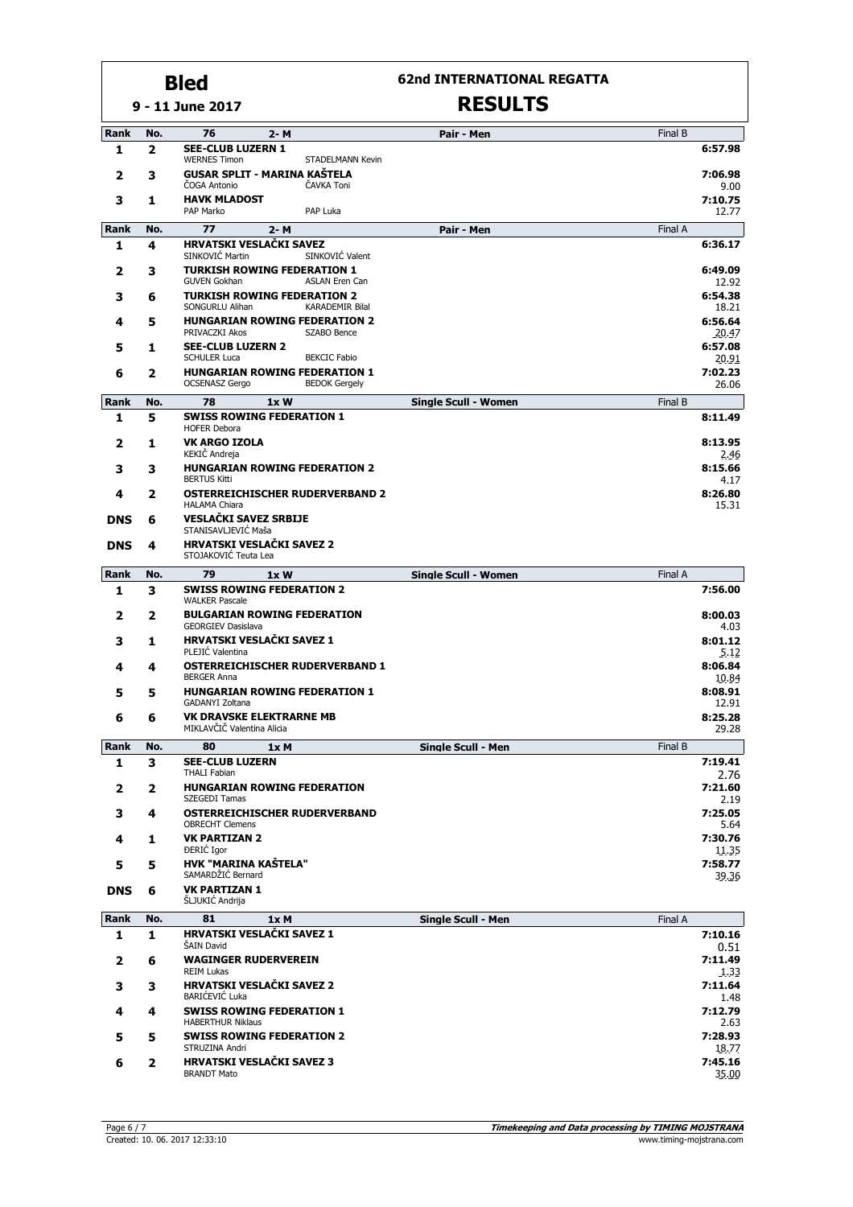**9 - 11 June 2017**

### **62nd INTERNATIONAL REGATTA**

| <b>Rank</b> | No. | 76<br>2- M                                                                            | Pair - Men                  | Final B          |  |  |  |
|-------------|-----|---------------------------------------------------------------------------------------|-----------------------------|------------------|--|--|--|
| 1           | 2   | <b>SEE-CLUB LUZERN 1</b><br><b>WERNES Timon</b><br><b>STADELMANN Kevin</b>            |                             | 6:57.98          |  |  |  |
| 2           | з   | <b>GUSAR SPLIT - MARINA KAŠTELA</b><br>ČAVKA Toni<br>ČOGA Antonio                     |                             |                  |  |  |  |
| 3           | 1   | <b>HAVK MLADOST</b><br>PAP Marko<br>PAP Luka                                          |                             | 7:10.75<br>12.77 |  |  |  |
| Rank        | No. | 77<br>2- M                                                                            | Pair - Men                  | Final A          |  |  |  |
| 1           | 4   | <b>HRVATSKI VESLAČKI SAVEZ</b><br>SINKOVIĆ Valent<br>SINKOVIĆ Martin                  |                             | 6:36.17          |  |  |  |
| 2           | з   | <b>TURKISH ROWING FEDERATION 1</b><br><b>GUVEN Gokhan</b><br><b>ASLAN Eren Can</b>    |                             | 6:49.09<br>12.92 |  |  |  |
| 3           | 6   | <b>TURKISH ROWING FEDERATION 2</b><br>SONGURLU Alihan<br><b>KARADEMIR Bilal</b>       |                             | 6:54.38<br>18.21 |  |  |  |
| 4           | 5   | <b>HUNGARIAN ROWING FEDERATION 2</b><br>PRIVACZKI Akos<br>SZABO Bence                 |                             | 6:56.64<br>20.47 |  |  |  |
| 5           | 1   | <b>SEE-CLUB LUZERN 2</b><br><b>SCHULER Luca</b><br><b>BEKCIC Fabio</b>                |                             | 6:57.08<br>20.91 |  |  |  |
| 6           | 2   | <b>HUNGARIAN ROWING FEDERATION 1</b><br><b>OCSENASZ Gergo</b><br><b>BEDOK Gergely</b> |                             | 7:02.23<br>26.06 |  |  |  |
| Rank        | No. | 78<br>1xW                                                                             | <b>Single Scull - Women</b> | Final B          |  |  |  |
| 1           | 5   | <b>SWISS ROWING FEDERATION 1</b><br><b>HOFER Debora</b>                               |                             | 8:11.49          |  |  |  |
| 2           | 1   | <b>VK ARGO IZOLA</b><br>KEKIČ Andreja                                                 |                             | 8:13.95<br>2.46  |  |  |  |
| 3           | з   | <b>HUNGARIAN ROWING FEDERATION 2</b><br><b>BERTUS Kitti</b>                           |                             | 8:15.66<br>4.17  |  |  |  |
| 4           | 2   | <b>OSTERREICHISCHER RUDERVERBAND 2</b><br><b>HALAMA Chiara</b>                        |                             | 8:26.80<br>15.31 |  |  |  |
| <b>DNS</b>  | 6   | <b>VESLAČKI SAVEZ SRBIJE</b><br>STANISAVLJEVIĆ Maša                                   |                             |                  |  |  |  |
| <b>DNS</b>  | 4   | <b>HRVATSKI VESLAČKI SAVEZ 2</b><br>STOJAKOVIĆ Teuta Lea                              |                             |                  |  |  |  |
| Rank        | No. | 79<br>1xW                                                                             | <b>Single Scull - Women</b> | Final A          |  |  |  |
| 1           | 3   | <b>SWISS ROWING FEDERATION 2</b><br><b>WALKER Pascale</b>                             |                             | 7:56.00          |  |  |  |
| 2           | 2   | <b>BULGARIAN ROWING FEDERATION</b><br><b>GEORGIEV Dasislava</b>                       |                             | 8:00.03<br>4.03  |  |  |  |
| 3           | 1   | <b>HRVATSKI VESLAČKI SAVEZ 1</b><br>PLEJIĆ Valentina                                  |                             | 8:01.12<br>5.12  |  |  |  |
| 4           | 4   | <b>OSTERREICHISCHER RUDERVERBAND 1</b><br><b>BERGER Anna</b>                          |                             | 8:06.84<br>10.84 |  |  |  |
| 5           | 5   | <b>HUNGARIAN ROWING FEDERATION 1</b><br>GADANYI Zoltana                               |                             | 8:08.91<br>12.91 |  |  |  |
| 6           | 6   | <b>VK DRAVSKE ELEKTRARNE MB</b><br>MIKLAVČIČ Valentina Alicia                         |                             | 8:25.28<br>29.28 |  |  |  |
| Rank        | No. | 80<br>1x M                                                                            | Single Scull - Men          | Final B          |  |  |  |
| 1           | 3   | <b>SEE-CLUB LUZERN</b><br><b>THALI Fabian</b>                                         |                             | 7:19.41<br>2.76  |  |  |  |
| 2           | 2   | <b>HUNGARIAN ROWING FEDERATION</b><br>SZEGEDI Tamas                                   |                             | 7:21.60<br>2.19  |  |  |  |
| 3           | 4   | OSTERREICHISCHER RUDERVERBAND<br><b>OBRECHT Clemens</b>                               |                             | 7:25.05<br>5.64  |  |  |  |
| 4           | 1   | <b>VK PARTIZAN 2</b><br><b>DERIC</b> Igor                                             |                             | 7:30.76<br>11.35 |  |  |  |
| 5           | 5   | <b>HVK "MARINA KAŠTELA"</b><br>SAMARDŽIĆ Bernard                                      |                             | 7:58.77<br>39.36 |  |  |  |
| <b>DNS</b>  | 6   | <b>VK PARTIZAN 1</b><br>ŠLJUKIĆ Andrija                                               |                             |                  |  |  |  |
| <b>Rank</b> | No. | 81<br>1xM                                                                             | Single Scull - Men          | Final A          |  |  |  |
| 1           | 1   | HRVATSKI VESLAČKI SAVEZ 1<br>ŠAIN David                                               |                             | 7:10.16<br>0.51  |  |  |  |
| 2           | 6   | <b>WAGINGER RUDERVEREIN</b><br><b>REIM Lukas</b>                                      |                             | 7:11.49<br>1.33  |  |  |  |
| 3           | 3   | <b>HRVATSKI VESLAČKI SAVEZ 2</b><br>BARIĆEVIĆ Luka                                    |                             | 7:11.64<br>1.48  |  |  |  |
| 4           | 4   | <b>SWISS ROWING FEDERATION 1</b><br><b>HABERTHUR Niklaus</b>                          |                             | 7:12.79<br>2.63  |  |  |  |
| 5           | 5   | <b>SWISS ROWING FEDERATION 2</b><br>STRUZINA Andri                                    |                             | 7:28.93<br>18.77 |  |  |  |
| 6           | 2   | <b>HRVATSKI VESLAČKI SAVEZ 3</b><br><b>BRANDT Mato</b>                                |                             | 7:45.16<br>35.00 |  |  |  |